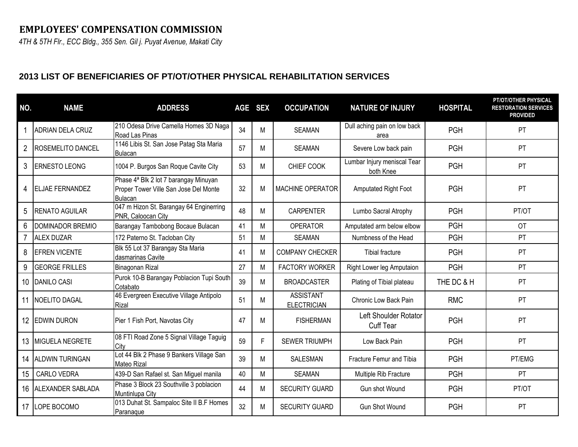## **EMPLOYEES' COMPENSATION COMMISSION**

*4TH & 5TH Flr., ECC Bldg., 355 Sen. Gil j. Puyat Avenue, Makati City*

## **2013 LIST OF BENEFICIARIES OF PT/OT/OTHER PHYSICAL REHABILITATION SERVICES**

| NO.            | <b>NAME</b>             | <b>ADDRESS</b>                                                                                               |    | AGE SEX | <b>OCCUPATION</b>                      | <b>NATURE OF INJURY</b>                          | <b>HOSPITAL</b> | PT/OT/OTHER PHYSICAL<br><b>RESTORATION SERVICES</b><br><b>PROVIDED</b> |
|----------------|-------------------------|--------------------------------------------------------------------------------------------------------------|----|---------|----------------------------------------|--------------------------------------------------|-----------------|------------------------------------------------------------------------|
|                | <b>ADRIAN DELA CRUZ</b> | 210 Odesa Drive Camella Homes 3D Naga<br>Road Las Pinas                                                      | 34 | М       | <b>SEAMAN</b>                          | Dull aching pain on low back<br>area             | <b>PGH</b>      | <b>PT</b>                                                              |
| $\overline{2}$ | ROSEMELITO DANCEL       | 1146 Libis St. San Jose Patag Sta Maria<br>Bulacan                                                           | 57 | М       | <b>SEAMAN</b>                          | Severe Low back pain                             | <b>PGH</b>      | <b>PT</b>                                                              |
| 3              | ERNESTO LEONG           | 1004 P. Burgos San Roque Cavite City                                                                         | 53 | М       | CHIEF COOK                             | Lumbar Injury meniscal Tear<br>both Knee         | <b>PGH</b>      | PT                                                                     |
| 4              | ELJAE FERNANDEZ         | Phase 4 <sup>ª</sup> Blk 2 lot 7 barangay Minuyan<br>Proper Tower Ville San Jose Del Monte<br><b>Bulacan</b> | 32 | M       | MACHINE OPERATOR                       | Amputated Right Foot                             | <b>PGH</b>      | PT                                                                     |
| 5              | <b>RENATO AGUILAR</b>   | 047 m Hizon St. Barangay 64 Enginerring<br>PNR, Caloocan City                                                | 48 | M       | <b>CARPENTER</b>                       | Lumbo Sacral Atrophy                             | <b>PGH</b>      | PT/OT                                                                  |
| 6              | DOMINADOR BREMIO        | Barangay Tambobong Bocaue Bulacan                                                                            | 41 | M       | <b>OPERATOR</b>                        | Amputated arm below elbow                        | <b>PGH</b>      | <b>OT</b>                                                              |
|                | <b>ALEX DUZAR</b>       | 172 Paterno St. Tacloban City                                                                                | 51 | Μ       | <b>SEAMAN</b>                          | Numbness of the Head                             | <b>PGH</b>      | <b>PT</b>                                                              |
| 8              | <b>EFREN VICENTE</b>    | Blk 55 Lot 37 Barangay Sta Maria<br>dasmarinas Cavite                                                        | 41 | М       | <b>COMPANY CHECKER</b>                 | <b>Tibial fracture</b>                           | <b>PGH</b>      | PT                                                                     |
| 9              | <b>GEORGE FRILLES</b>   | Binagonan Rizal                                                                                              | 27 | М       | <b>FACTORY WORKER</b>                  | Right Lower leg Amputaion                        | <b>PGH</b>      | PT                                                                     |
| 10             | <b>DANILO CASI</b>      | Purok 10-B Barangay Poblacion Tupi South<br>Cotabato                                                         | 39 | М       | <b>BROADCASTER</b>                     | Plating of Tibial plateau                        | THE DC & H      | <b>PT</b>                                                              |
| 11             | NOELITO DAGAL           | 46 Evergreen Executive Village Antipolo<br>Rizal                                                             | 51 | М       | <b>ASSISTANT</b><br><b>ELECTRICIAN</b> | Chronic Low Back Pain                            | <b>RMC</b>      | PT                                                                     |
| 12             | <b>EDWIN DURON</b>      | Pier 1 Fish Port, Navotas City                                                                               | 47 | M       | <b>FISHERMAN</b>                       | <b>Left Shoulder Rotator</b><br><b>Cuff Tear</b> | <b>PGH</b>      | <b>PT</b>                                                              |
| 13             | MIGUELA NEGRETE         | 08 FTI Road Zone 5 Signal Village Taguig<br>City                                                             | 59 | F.      | <b>SEWER TRIUMPH</b>                   | Low Back Pain                                    | <b>PGH</b>      | PT                                                                     |
| 14             | <b>ALDWIN TURINGAN</b>  | Lot 44 Blk 2 Phase 9 Bankers Village San<br>Mateo Rizal                                                      | 39 | М       | SALESMAN                               | Fracture Femur and Tibia                         | <b>PGH</b>      | PT/EMG                                                                 |
| 15             | CARLO VEDRA             | 439-D San Rafael st. San Miguel manila                                                                       | 40 | M       | <b>SEAMAN</b>                          | Multiple Rib Fracture                            | <b>PGH</b>      | <b>PT</b>                                                              |
| 16             | ALEXANDER SABLADA       | Phase 3 Block 23 Southville 3 poblacion<br>Muntinlupa City                                                   | 44 | М       | <b>SECURITY GUARD</b>                  | Gun shot Wound                                   | <b>PGH</b>      | PT/OT                                                                  |
| 17             | LOPE BOCOMO             | 013 Duhat St. Sampaloc Site II B.F Homes<br>Paranaque                                                        | 32 | М       | <b>SECURITY GUARD</b>                  | <b>Gun Shot Wound</b>                            | <b>PGH</b>      | <b>PT</b>                                                              |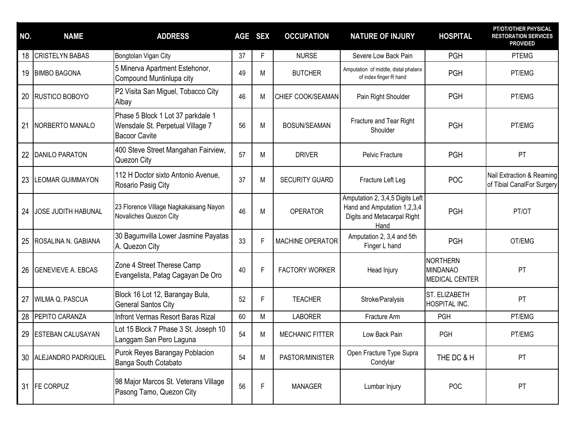| NO. | <b>NAME</b>                | <b>ADDRESS</b>                                                                                | AGE SEX |   | <b>OCCUPATION</b>      | <b>NATURE OF INJURY</b>                                                                               | <b>HOSPITAL</b>                                      | PT/OT/OTHER PHYSICAL<br><b>RESTORATION SERVICES</b><br><b>PROVIDED</b> |
|-----|----------------------------|-----------------------------------------------------------------------------------------------|---------|---|------------------------|-------------------------------------------------------------------------------------------------------|------------------------------------------------------|------------------------------------------------------------------------|
| 18  | <b>CRISTELYN BABAS</b>     | Bongtolan Vigan City                                                                          | 37      | F | <b>NURSE</b>           | Severe Low Back Pain                                                                                  | <b>PGH</b>                                           | <b>PTEMG</b>                                                           |
|     | 19 BIMBO BAGONA            | 5 Minerva Apartment Estehonor,<br>Compound Muntinlupa city                                    | 49      | М | <b>BUTCHER</b>         | Amputation of middle, distal phalanx<br>of index finger R hand                                        | <b>PGH</b>                                           | PT/EMG                                                                 |
| 20  | <b>RUSTICO BOBOYO</b>      | P2 Visita San Miguel, Tobacco City<br>Albay                                                   | 46      | M | CHIEF COOK/SEAMAN      | Pain Right Shoulder                                                                                   | <b>PGH</b>                                           | PT/EMG                                                                 |
| 21  | NORBERTO MANALO            | Phase 5 Block 1 Lot 37 parkdale 1<br>Wensdale St. Perpetual Village 7<br><b>Bacoor Cavite</b> | 56      | M | <b>BOSUN/SEAMAN</b>    | Fracture and Tear Right<br>Shoulder                                                                   | <b>PGH</b>                                           | PT/EMG                                                                 |
| 22  | <b>DANILO PARATON</b>      | 400 Steve Street Mangahan Fairview,<br>Quezon City                                            | 57      | М | <b>DRIVER</b>          | Pelvic Fracture                                                                                       | <b>PGH</b>                                           | <b>PT</b>                                                              |
| 23  | <b>LEOMAR GUIMMAYON</b>    | 112 H Doctor sixto Antonio Avenue,<br>Rosario Pasig City                                      | 37      | M | SECURITY GUARD         | Fracture Left Leg                                                                                     | <b>POC</b>                                           | Nail Extraction & Reaming<br>of Tibial CanalFor Surgery                |
| 24  | <b>JOSE JUDITH HABUNAL</b> | 23 Florence Village Nagkakaisang Nayon<br>Novaliches Quezon City                              | 46      | M | <b>OPERATOR</b>        | Amputation 2, 3,4,5 Digits Left<br>Hand and Amputation 1,2,3,4<br>Digits and Metacarpal Right<br>Hand | <b>PGH</b>                                           | PT/OT                                                                  |
| 25  | ROSALINA N. GABIANA        | 30 Bagumvilla Lower Jasmine Payatas<br>A. Quezon City                                         | 33      | F | MACHINE OPERATOR       | Amputation 2, 3,4 and 5th<br>Finger L hand                                                            | <b>PGH</b>                                           | OT/EMG                                                                 |
| 26  | <b>GENEVIEVE A. EBCAS</b>  | Zone 4 Street Therese Camp<br>Evangelista, Patag Cagayan De Oro                               | 40      | F | <b>FACTORY WORKER</b>  | Head Injury                                                                                           | NORTHERN<br><b>MINDANAO</b><br><b>MEDICAL CENTER</b> | PT                                                                     |
| 27  | WILMA Q. PASCUA            | Block 16 Lot 12, Barangay Bula,<br><b>General Santos City</b>                                 | 52      | F | <b>TEACHER</b>         | Stroke/Paralysis                                                                                      | ST. ELIZABETH<br>HOSPITAL INC.                       | PT                                                                     |
| 28  | PEPITO CARANZA             | Infront Vermas Resort Baras Rizal                                                             | 60      | M | <b>LABORER</b>         | Fracture Arm                                                                                          | <b>PGH</b>                                           | PT/EMG                                                                 |
| 29  | <b>ESTEBAN CALUSAYAN</b>   | Lot 15 Block 7 Phase 3 St. Joseph 10<br>Langgam San Pero Laguna                               | 54      | M | <b>MECHANIC FITTER</b> | Low Back Pain                                                                                         | PGH                                                  | PT/EMG                                                                 |
| 30  | ALEJANDRO PADRIQUEL        | Purok Reyes Barangay Poblacion<br>Banga South Cotabato                                        | 54      | М | PASTOR/MINISTER        | Open Fracture Type Supra<br>Condylar                                                                  | THE DC & H                                           | PT                                                                     |
| 31  | <b>FE CORPUZ</b>           | 98 Major Marcos St. Veterans Village<br>Pasong Tamo, Quezon City                              | 56      | F | <b>MANAGER</b>         | Lumbar Injury                                                                                         | POC                                                  | PT                                                                     |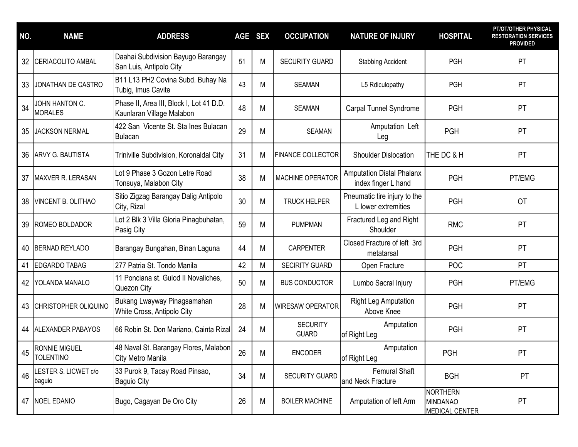| NO. | <b>NAME</b>                              | <b>ADDRESS</b>                                                        | <b>AGE</b> | <b>SEX</b> | <b>OCCUPATION</b>               | <b>NATURE OF INJURY</b>                                 | <b>HOSPITAL</b>                                             | PT/OT/OTHER PHYSICAL<br><b>RESTORATION SERVICES</b><br><b>PROVIDED</b> |
|-----|------------------------------------------|-----------------------------------------------------------------------|------------|------------|---------------------------------|---------------------------------------------------------|-------------------------------------------------------------|------------------------------------------------------------------------|
| 32  | <b>CERIACOLITO AMBAL</b>                 | Daahai Subdivision Bayugo Barangay<br>San Luis, Antipolo City         | 51         | M          | <b>SECURITY GUARD</b>           | <b>Stabbing Accident</b>                                | PGH                                                         | PT                                                                     |
| 33  | JONATHAN DE CASTRO                       | B11 L13 PH2 Covina Subd. Buhay Na<br>Tubig, Imus Cavite               | 43         | М          | <b>SEAMAN</b>                   | L5 Rdiculopathy                                         | <b>PGH</b>                                                  | PT                                                                     |
| 34  | JOHN HANTON C.<br><b>MORALES</b>         | Phase II, Area III, Block I, Lot 41 D.D.<br>Kaunlaran Village Malabon | 48         | M          | <b>SEAMAN</b>                   | Carpal Tunnel Syndrome                                  | <b>PGH</b>                                                  | PT                                                                     |
| 35  | <b>JACKSON NERMAL</b>                    | 422 San Vicente St. Sta Ines Bulacan<br>Bulacan                       | 29         | M          | <b>SEAMAN</b>                   | Amputation Left<br>Leg                                  | <b>PGH</b>                                                  | PT                                                                     |
| 36  | ARVY G. BAUTISTA                         | Triniville Subdivision, Koronaldal City                               | 31         | M          | <b>FINANCE COLLECTOR</b>        | <b>Shoulder Dislocation</b>                             | THE DC & H                                                  | <b>PT</b>                                                              |
| 37  | MAXVER R. LERASAN                        | Lot 9 Phase 3 Gozon Letre Road<br>Tonsuya, Malabon City               | 38         | M          | <b>MACHINE OPERATOR</b>         | <b>Amputation Distal Phalanx</b><br>index finger L hand | <b>PGH</b>                                                  | PT/EMG                                                                 |
| 38  | VINCENT B. OLITHAO                       | Sitio Zigzag Barangay Dalig Antipolo<br>City, Rizal                   | 30         | M          | <b>TRUCK HELPER</b>             | Pneumatic tire injury to the<br>L lower extremities     | <b>PGH</b>                                                  | <b>OT</b>                                                              |
| 39  | ROMEO BOLDADOR                           | Lot 2 Blk 3 Villa Gloria Pinagbuhatan,<br>Pasig City                  | 59         | M          | <b>PUMPMAN</b>                  | Fractured Leg and Right<br>Shoulder                     | <b>RMC</b>                                                  | PT                                                                     |
| 40  | <b>BERNAD REYLADO</b>                    | Barangay Bungahan, Binan Laguna                                       | 44         | M          | <b>CARPENTER</b>                | Closed Fracture of left 3rd<br>metatarsal               | <b>PGH</b>                                                  | PT                                                                     |
| 41  | <b>EDGARDO TABAG</b>                     | 277 Patria St. Tondo Manila                                           | 42         | M          | <b>SECIRITY GUARD</b>           | Open Fracture                                           | <b>POC</b>                                                  | PT                                                                     |
| 42  | YOLANDA MANALO                           | 11 Ponciana st. Gulod II Novaliches,<br>Quezon City                   | 50         | M          | <b>BUS CONDUCTOR</b>            | Lumbo Sacral Injury                                     | <b>PGH</b>                                                  | PT/EMG                                                                 |
| 43  | CHRISTOPHER OLIQUINO                     | Bukang Lwayway Pinagsamahan<br>White Cross, Antipolo City             | 28         | M          | <b>WIRESAW OPERATOR</b>         | <b>Right Leg Amputation</b><br>Above Knee               | <b>PGH</b>                                                  | PT                                                                     |
| 44  | <b>ALEXANDER PABAYOS</b>                 | 66 Robin St. Don Mariano, Cainta Rizal                                | 24         | M          | <b>SECURITY</b><br><b>GUARD</b> | Amputation<br>of Right Leg                              | <b>PGH</b>                                                  | PT                                                                     |
| 45  | <b>RONNIE MIGUEL</b><br><b>TOLENTINO</b> | 48 Naval St. Barangay Flores, Malabon<br>City Metro Manila            | 26         | M          | <b>ENCODER</b>                  | Amputation<br>of Right Leg                              | PGH                                                         | PT                                                                     |
| 46  | LESTER S. LICWET c/o<br>baguio           | 33 Purok 9, Tacay Road Pinsao,<br><b>Baguio City</b>                  | 34         | M          | SECURITY GUARD                  | <b>Femural Shaft</b><br>and Neck Fracture               | <b>BGH</b>                                                  | <b>PT</b>                                                              |
| 47  | <b>NOEL EDANIO</b>                       | Bugo, Cagayan De Oro City                                             | 26         | M          | <b>BOILER MACHINE</b>           | Amputation of left Arm                                  | <b>NORTHERN</b><br><b>MINDANAO</b><br><b>MEDICAL CENTER</b> | PT                                                                     |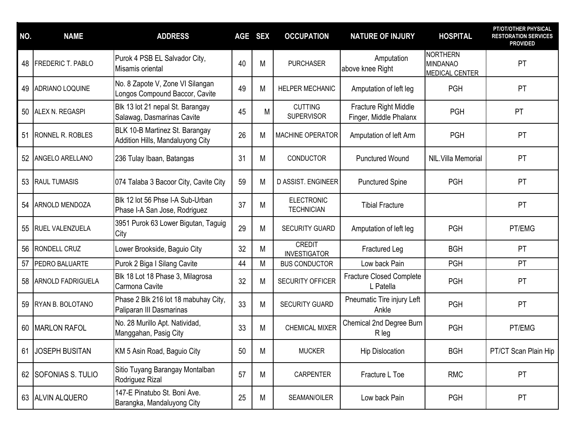| NO. | <b>NAME</b>              | <b>ADDRESS</b>                                                     | <b>AGE</b> | <b>SEX</b> | <b>OCCUPATION</b>                      | <b>NATURE OF INJURY</b>                         | <b>HOSPITAL</b>                                             | PT/OT/OTHER PHYSICAL<br><b>RESTORATION SERVICES</b><br><b>PROVIDED</b> |
|-----|--------------------------|--------------------------------------------------------------------|------------|------------|----------------------------------------|-------------------------------------------------|-------------------------------------------------------------|------------------------------------------------------------------------|
| 48  | <b>FREDERIC T. PABLO</b> | Purok 4 PSB EL Salvador City,<br>Misamis oriental                  | 40         | M          | <b>PURCHASER</b>                       | Amputation<br>above knee Right                  | <b>NORTHERN</b><br><b>MINDANAO</b><br><b>MEDICAL CENTER</b> | <b>PT</b>                                                              |
| 49  | ADRIANO LOQUINE          | No. 8 Zapote V, Zone VI Silangan<br>Longos Compound Baccor, Cavite | 49         | M          | HELPER MECHANIC                        | Amputation of left leg                          | <b>PGH</b>                                                  | PT                                                                     |
| 50  | ALEX N. REGASPI          | Blk 13 lot 21 nepal St. Barangay<br>Salawag, Dasmarinas Cavite     | 45         | M          | <b>CUTTING</b><br><b>SUPERVISOR</b>    | Fracture Right Middle<br>Finger, Middle Phalanx | <b>PGH</b>                                                  | PT                                                                     |
| 51  | <b>RONNEL R. ROBLES</b>  | BLK 10-B Martinez St. Barangay<br>Addition Hills, Mandaluyong City | 26         | M          | <b>MACHINE OPERATOR</b>                | Amputation of left Arm                          | <b>PGH</b>                                                  | <b>PT</b>                                                              |
|     | 52 ANGELO ARELLANO       | 236 Tulay Ibaan, Batangas                                          | 31         | M          | <b>CONDUCTOR</b>                       | <b>Punctured Wound</b>                          | NIL. Villa Memorial                                         | PT                                                                     |
|     | 53 RAUL TUMASIS          | 074 Talaba 3 Bacoor City, Cavite City                              | 59         | M          | D ASSIST. ENGINEER                     | <b>Punctured Spine</b>                          | <b>PGH</b>                                                  | <b>PT</b>                                                              |
|     | 54 ARNOLD MENDOZA        | Blk 12 lot 56 Phse I-A Sub-Urban<br>Phase I-A San Jose, Rodriguez  | 37         | M          | <b>ELECTRONIC</b><br><b>TECHNICIAN</b> | <b>Tibial Fracture</b>                          |                                                             | PT                                                                     |
| 55  | <b>RUEL VALENZUELA</b>   | 3951 Purok 63 Lower Bigutan, Taguig<br>City                        | 29         | M          | <b>SECURITY GUARD</b>                  | Amputation of left leg                          | <b>PGH</b>                                                  | PT/EMG                                                                 |
| 56  | <b>RONDELL CRUZ</b>      | Lower Brookside, Baguio City                                       | 32         | M          | <b>CREDIT</b><br><b>INVESTIGATOR</b>   | Fractured Leg                                   | <b>BGH</b>                                                  | <b>PT</b>                                                              |
| 57  | PEDRO BALUARTE           | Purok 2 Biga I Silang Cavite                                       | 44         | M          | <b>BUS CONDUCTOR</b>                   | Low back Pain                                   | <b>PGH</b>                                                  | PT                                                                     |
| 58  | <b>ARNOLD FADRIGUELA</b> | Blk 18 Lot 18 Phase 3, Milagrosa<br>Carmona Cavite                 | 32         | M          | <b>SECURITY OFFICER</b>                | <b>Fracture Closed Complete</b><br>L Patella    | <b>PGH</b>                                                  | PT                                                                     |
| 59  | RYAN B. BOLOTANO         | Phase 2 Blk 216 lot 18 mabuhay City,<br>Paliparan III Dasmarinas   | 33         | M          | <b>SECURITY GUARD</b>                  | Pneumatic Tire injury Left<br>Ankle             | <b>PGH</b>                                                  | <b>PT</b>                                                              |
|     | 60 MARLON RAFOL          | No. 28 Murillo Apt. Natividad,<br>Manggahan, Pasig City            | 33         | M          | <b>CHEMICAL MIXER</b>                  | Chemical 2nd Degree Burn<br>R leg               | <b>PGH</b>                                                  | PT/EMG                                                                 |
|     | 61 JOSEPH BUSITAN        | KM 5 Asin Road, Baguio City                                        | 50         | M          | <b>MUCKER</b>                          | <b>Hip Dislocation</b>                          | <b>BGH</b>                                                  | PT/CT Scan Plain Hip                                                   |
|     | 62 SOFONIAS S. TULIO     | Sitio Tuyang Barangay Montalban<br>Rodriguez Rizal                 | 57         | M          | <b>CARPENTER</b>                       | Fracture L Toe                                  | <b>RMC</b>                                                  | <b>PT</b>                                                              |
|     | 63 ALVIN ALQUERO         | 147-E Pinatubo St. Boni Ave.<br>Barangka, Mandaluyong City         | 25         | M          | SEAMAN/OILER                           | Low back Pain                                   | <b>PGH</b>                                                  | <b>PT</b>                                                              |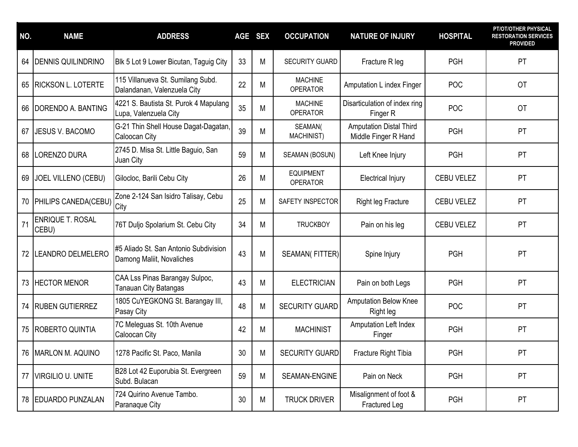| NO. | <b>NAME</b>                      | <b>ADDRESS</b>                                                     | <b>AGE</b>      | <b>SEX</b> | <b>OCCUPATION</b>                   | <b>NATURE OF INJURY</b>                                | <b>HOSPITAL</b>   | PT/OT/OTHER PHYSICAL<br><b>RESTORATION SERVICES</b><br><b>PROVIDED</b> |
|-----|----------------------------------|--------------------------------------------------------------------|-----------------|------------|-------------------------------------|--------------------------------------------------------|-------------------|------------------------------------------------------------------------|
| 64  | <b>DENNIS QUILINDRINO</b>        | Blk 5 Lot 9 Lower Bicutan, Taguig City                             | 33              | M          | <b>SECURITY GUARD</b>               | Fracture R leg                                         | <b>PGH</b>        | PT                                                                     |
| 65  | <b>RICKSON L. LOTERTE</b>        | 115 Villanueva St. Sumilang Subd.<br>Dalandanan, Valenzuela City   | 22              | M          | <b>MACHINE</b><br><b>OPERATOR</b>   | Amputation L index Finger                              | <b>POC</b>        | <b>OT</b>                                                              |
| 66  | DORENDO A. BANTING               | 4221 S. Bautista St. Purok 4 Mapulang<br>Lupa, Valenzuela City     | 35              | M          | <b>MACHINE</b><br><b>OPERATOR</b>   | Disarticulation of index ring<br>Finger R              | POC               | <b>OT</b>                                                              |
| 67  | <b>JESUS V. BACOMO</b>           | G-21 Thin Shell House Dagat-Dagatan,<br>Caloocan City              | 39              | M          | SEAMAN(<br>MACHINIST)               | <b>Amputation Distal Third</b><br>Middle Finger R Hand | <b>PGH</b>        | PT                                                                     |
| 68  | LORENZO DURA                     | 2745 D. Misa St. Little Baguio, San<br>Juan City                   | 59              | M          | SEAMAN (BOSUN)                      | Left Knee Injury                                       | <b>PGH</b>        | PT                                                                     |
| 69  | <b>JOEL VILLENO (CEBU)</b>       | Gilocloc, Barili Cebu City                                         | 26              | M          | <b>EQUIPMENT</b><br><b>OPERATOR</b> | <b>Electrical Injury</b>                               | CEBU VELEZ        | PT                                                                     |
|     | 70 PHILIPS CANEDA(CEBU)          | Zone 2-124 San Isidro Talisay, Cebu<br><b>City</b>                 | 25              | M          | SAFETY INSPECTOR                    | <b>Right leg Fracture</b>                              | CEBU VELEZ        | PT                                                                     |
| 71  | <b>ENRIQUE T. ROSAL</b><br>CEBU) | 76T Duljo Spolarium St. Cebu City                                  | 34              | M          | <b>TRUCKBOY</b>                     | Pain on his leg                                        | <b>CEBU VELEZ</b> | PT                                                                     |
| 72  | LEANDRO DELMELERO                | #5 Aliado St. San Antonio Subdivision<br>Damong Maliit, Novaliches | 43              | M          | <b>SEAMAN(FITTER)</b>               | Spine Injury                                           | <b>PGH</b>        | PT                                                                     |
| 73  | <b>HECTOR MENOR</b>              | CAA Lss Pinas Barangay Sulpoc,<br>Tanauan City Batangas            | 43              | M          | <b>ELECTRICIAN</b>                  | Pain on both Legs                                      | <b>PGH</b>        | PT                                                                     |
| 74  | <b>RUBEN GUTIERREZ</b>           | 1805 CuYEGKONG St. Barangay III,<br>Pasay City                     | 48              | M          | <b>SECURITY GUARD</b>               | <b>Amputation Below Knee</b><br>Right leg              | <b>POC</b>        | PT                                                                     |
| 75  | ROBERTO QUINTIA                  | 7C Meleguas St. 10th Avenue<br>Caloocan City                       | 42              | M          | <b>MACHINIST</b>                    | Amputation Left Index<br>Finger                        | <b>PGH</b>        | PT                                                                     |
|     | 76 MARLON M. AQUINO              | 1278 Pacific St. Paco, Manila                                      | 30              | M          | <b>SECURITY GUARD</b>               | Fracture Right Tibia                                   | PGH               | PT                                                                     |
|     | 77 VIRGILIO U. UNITE             | B28 Lot 42 Euporubia St. Evergreen<br>Subd. Bulacan                | 59              | M          | SEAMAN-ENGINE                       | Pain on Neck                                           | <b>PGH</b>        | <b>PT</b>                                                              |
|     | 78 EDUARDO PUNZALAN              | 724 Quirino Avenue Tambo.<br>Paranaque City                        | 30 <sup>°</sup> | M          | <b>TRUCK DRIVER</b>                 | Misalignment of foot &<br>Fractured Leg                | <b>PGH</b>        | <b>PT</b>                                                              |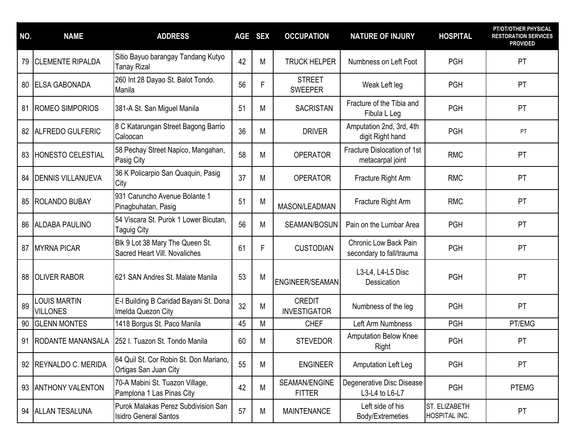| NO. | <b>NAME</b>                            | <b>ADDRESS</b>                                                      | <b>AGE</b> | <b>SEX</b> | <b>OCCUPATION</b>                    | <b>NATURE OF INJURY</b>                                  | <b>HOSPITAL</b>                | PT/OT/OTHER PHYSICAL<br><b>RESTORATION SERVICES</b><br><b>PROVIDED</b> |
|-----|----------------------------------------|---------------------------------------------------------------------|------------|------------|--------------------------------------|----------------------------------------------------------|--------------------------------|------------------------------------------------------------------------|
| 79  | <b>CLEMENTE RIPALDA</b>                | Sitio Bayuo barangay Tandang Kutyo<br><b>Tanay Rizal</b>            | 42         | M          | <b>TRUCK HELPER</b>                  | Numbness on Left Foot                                    | <b>PGH</b>                     | PT                                                                     |
| 80  | <b>ELSA GABONADA</b>                   | 260 Int 28 Dayao St. Balot Tondo.<br>Manila                         | 56         | F          | <b>STREET</b><br><b>SWEEPER</b>      | Weak Left leg                                            | <b>PGH</b>                     | PT                                                                     |
| 81  | <b>ROMEO SIMPORIOS</b>                 | 381-A St. San Miguel Manila                                         | 51         | M          | <b>SACRISTAN</b>                     | Fracture of the Tibia and<br>Fibula L Leg                | <b>PGH</b>                     | PT                                                                     |
|     | 82 ALFREDO GULFERIC                    | 8 C Katarungan Street Bagong Barrio<br>Caloocan                     | 36         | M          | <b>DRIVER</b>                        | Amputation 2nd, 3rd, 4th<br>digit Right hand             | <b>PGH</b>                     | PT                                                                     |
| 83  | <b>HONESTO CELESTIAL</b>               | 58 Pechay Street Napico, Mangahan,<br>Pasig City                    | 58         | M          | <b>OPERATOR</b>                      | Fracture Dislocation of 1st<br>metacarpal joint          | <b>RMC</b>                     | PT                                                                     |
| 84  | <b>DENNIS VILLANUEVA</b>               | 36 K Policarpio San Quaquin, Pasig<br>City                          | 37         | M          | <b>OPERATOR</b>                      | Fracture Right Arm                                       | <b>RMC</b>                     | PT                                                                     |
| 85  | <b>ROLANDO BUBAY</b>                   | 931 Caruncho Avenue Bolante 1<br>Pinagbuhatan, Pasig                | 51         | M          | MASON/LEADMAN                        | Fracture Right Arm                                       | <b>RMC</b>                     | PT                                                                     |
|     | 86 ALDABA PAULINO                      | 54 Viscara St. Purok 1 Lower Bicutan,<br><b>Taguig City</b>         | 56         | M          | SEAMAN/BOSUN                         | Pain on the Lumbar Area                                  | <b>PGH</b>                     | PT                                                                     |
| 87  | <b>MYRNA PICAR</b>                     | Blk 9 Lot 38 Mary The Queen St.<br>Sacred Heart Vill. Novaliches    | 61         | F          | <b>CUSTODIAN</b>                     | <b>Chronic Low Back Pain</b><br>secondary to fall/trauma | <b>PGH</b>                     | PT                                                                     |
| 88  | <b>OLIVER RABOR</b>                    | 621 SAN Andres St. Malate Manila                                    | 53         | M          | ENGINEER/SEAMAN                      | L3-L4, L4-L5 Disc<br>Dessication                         | <b>PGH</b>                     | PT                                                                     |
| 89  | <b>LOUIS MARTIN</b><br><b>VILLONES</b> | E-I Building B Caridad Bayani St. Dona<br>Imelda Quezon City        | 32         | M          | <b>CREDIT</b><br><b>INVESTIGATOR</b> | Numbness of the leg                                      | <b>PGH</b>                     | PT                                                                     |
| 90  | <b>GLENN MONTES</b>                    | 1418 Borgus St. Paco Manila                                         | 45         | M          | <b>CHEF</b>                          | Left Arm Numbness                                        | <b>PGH</b>                     | PT/EMG                                                                 |
| 91  | <b>RODANTE MANANSALA</b>               | 252 I. Tuazon St. Tondo Manila                                      | 60         | M          | <b>STEVEDOR</b>                      | <b>Amputation Below Knee</b><br>Right                    | <b>PGH</b>                     | PT                                                                     |
| 92  | REYNALDO C. MERIDA                     | 64 Quil St. Cor Robin St. Don Mariano,<br>Ortigas San Juan City     | 55         | M          | <b>ENGINEER</b>                      | Amputation Left Leg                                      | <b>PGH</b>                     | <b>PT</b>                                                              |
|     | 93   ANTHONY VALENTON                  | 70-A Mabini St. Tuazon Village,<br>Pamplona 1 Las Pinas City        | 42         | M          | SEAMAN/ENGINE<br><b>FITTER</b>       | Degenerative Disc Disease<br>L3-L4 to L6-L7              | <b>PGH</b>                     | <b>PTEMG</b>                                                           |
|     | 94 ALLAN TESALUNA                      | Purok Malakas Perez Subdivision San<br><b>Isidro General Santos</b> | 57         | M          | <b>MAINTENANCE</b>                   | Left side of his<br>Body/Extremeties                     | ST. ELIZABETH<br>HOSPITAL INC. | <b>PT</b>                                                              |